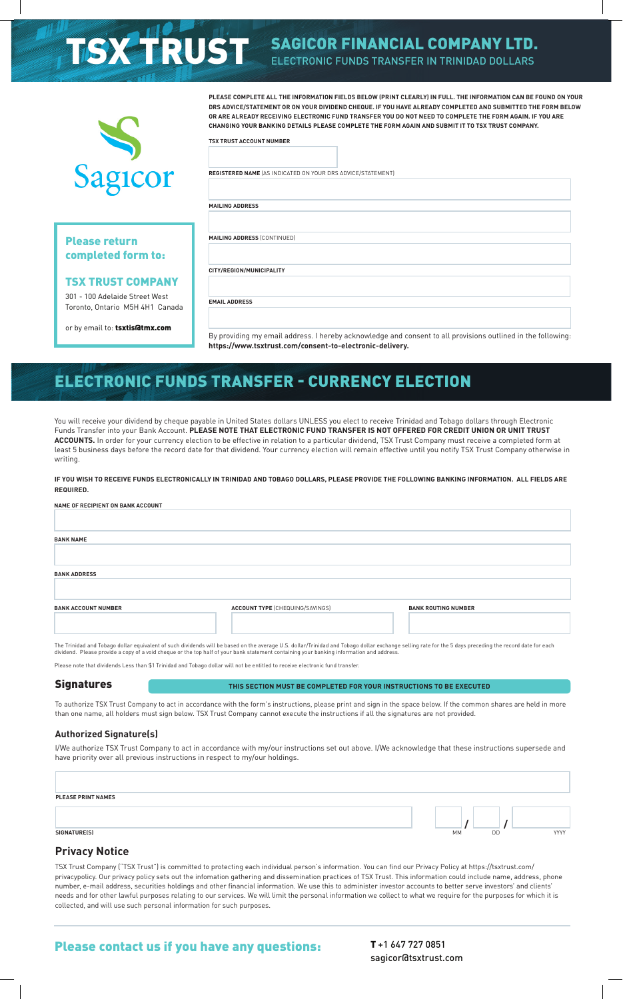# **TSX TRUST SAGICOR FINANCIAL COMPANY LTD.** ELECTRONIC FUNDS TRANSFER IN TRINIDAD DOLLARS



## Please return completed form to:

#### TSX TRUST COMPANY

301 - 100 Adelaide Street West Toronto, Ontario M5H 4H1 Canada

or by email to: tsxtis@tmx.com

**PLEASE COMPLETE ALL THE INFORMATION FIELDS BELOW (PRINT CLEARLY) IN FULL. THE INFORMATION CAN BE FOUND ON YOUR DRS ADVICE/STATEMENT OR ON YOUR DIVIDEND CHEQUE. IF YOU HAVE ALREADY COMPLETED AND SUBMITTED THE FORM BELOW OR ARE ALREADY RECEIVING ELECTRONIC FUND TRANSFER YOU DO NOT NEED TO COMPLETE THE FORM AGAIN. IF YOU ARE CHANGING YOUR BANKING DETAILS PLEASE COMPLETE THE FORM AGAIN AND SUBMIT IT TO TSX TRUST COMPANY.**

**TSX TRUST ACCOUNT NUMBER**

**REGISTERED NAME** (AS INDICATED ON YOUR DRS ADVICE/STATEMENT)

**MAILING ADDRESS** (CONTINUED)

**CITY/REGION/MUNICIPALITY**

**EMAIL ADDRESS**

**MAILING ADDRESS**

By providing my email address. I hereby acknowledge and consent to all provisions outlined in the following: **https://www.tsxtrust.com/consent-to-electronic-delivery.**

# ELECTRONIC FUNDS TRANSFER - CURRENCY ELECTION

You will receive your dividend by cheque payable in United States dollars UNLESS you elect to receive Trinidad and Tobago dollars through Electronic Funds Transfer into your Bank Account. **PLEASE NOTE THAT ELECTRONIC FUND TRANSFER IS NOT OFFERED FOR CREDIT UNION OR UNIT TRUST ACCOUNTS.** In order for your currency election to be effective in relation to a particular dividend, TSX Trust Company must receive a completed form at least 5 business days before the record date for that dividend. Your currency election will remain effective until you notify TSX Trust Company otherwise in writing.

**IF YOU WISH TO RECEIVE FUNDS ELECTRONICALLY IN TRINIDAD AND TOBAGO DOLLARS, PLEASE PROVIDE THE FOLLOWING BANKING INFORMATION. ALL FIELDS ARE REQUIRED.**

| NAME OF RECIPIENT ON BANK ACCOUNT                                                                                                                                                                       |                                        |                            |  |
|---------------------------------------------------------------------------------------------------------------------------------------------------------------------------------------------------------|----------------------------------------|----------------------------|--|
|                                                                                                                                                                                                         |                                        |                            |  |
| <b>BANK NAME</b>                                                                                                                                                                                        |                                        |                            |  |
|                                                                                                                                                                                                         |                                        |                            |  |
| <b>BANK ADDRESS</b>                                                                                                                                                                                     |                                        |                            |  |
|                                                                                                                                                                                                         |                                        |                            |  |
| <b>BANK ACCOUNT NUMBER</b>                                                                                                                                                                              | <b>ACCOUNT TYPE (CHEQUING/SAVINGS)</b> | <b>BANK ROUTING NUMBER</b> |  |
|                                                                                                                                                                                                         |                                        |                            |  |
| The Tripidal and Tobago dollar equivalent of cuch dividends will be based on the average U.S. dollar (Tripidad and Tobago dollar exchange celling rate for the 5 days preceding the geord date for each |                                        |                            |  |

The Trinidad and Tobago dollar equivalent of such dividends will be based on the average U.S. dollar/Trinidad and Tobago dollar exchange selling rate for the 5 days preceding the record date for each<br>dividend. Please prov

Please note that dividends Less than \$1 Trinidad and Tobago dollar will not be entitled to receive electronic fund transfer.

#### **Signatures**

**THIS SECTION MUST BE COMPLETED FOR YOUR INSTRUCTIONS TO BE EXECUTED**

To authorize TSX Trust Company to act in accordance with the form's instructions, please print and sign in the space below. If the common shares are held in more than one name, all holders must sign below. TSX Trust Company cannot execute the instructions if all the signatures are not provided.

#### **Authorized Signature(s)**

I/We authorize TSX Trust Company to act in accordance with my/our instructions set out above. I/We acknowledge that these instructions supersede and have priority over all previous instructions in respect to my/our holdings.

| <b>PLEASE PRINT NAMES</b> |    |    |      |
|---------------------------|----|----|------|
|                           |    |    |      |
| SIGNATURE(S)              | MM | DD | YYYY |

#### **Privacy Notice**

TSX Trust Company ("TSX Trust") is committed to protecting each individual person's information. You can find our Privacy Policy at https://tsxtrust.com/ privacypolicy. Our privacy policy sets out the infomation gathering and dissemination practices of TSX Trust. This information could include name, address, phone number, e-mail address, securities holdings and other financial information. We use this to administer investor accounts to better serve investors' and clients' needs and for other lawful purposes relating to our services. We will limit the personal information we collect to what we require for the purposes for which it is collected, and will use such personal information for such purposes.

## Please contact us if you have any questions: T+1 647 727 0851

sagicor@tsxtrust.com